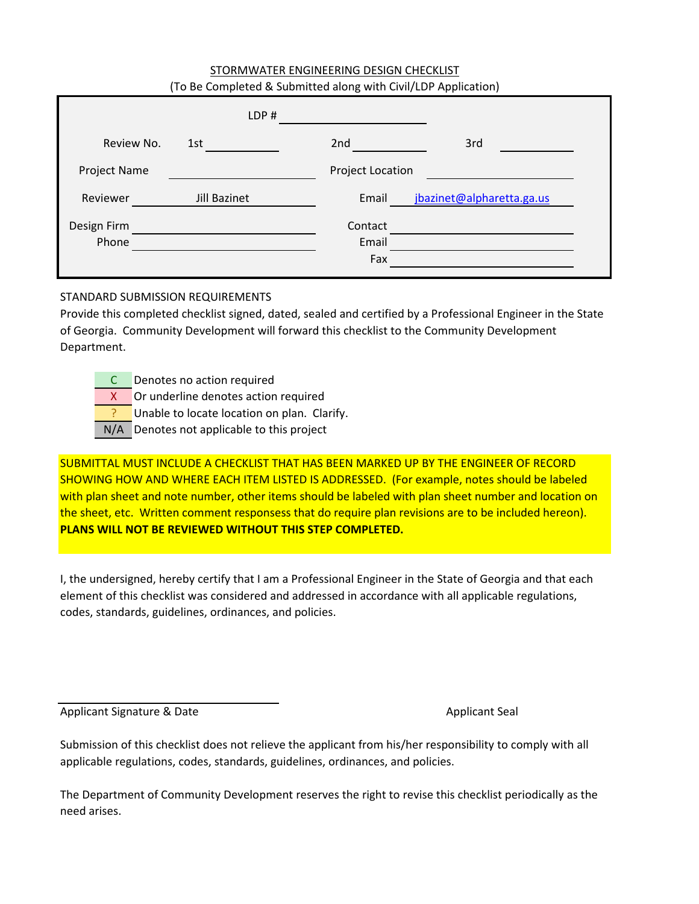## STORMWATER ENGINEERING DESIGN CHECKLIST (To Be Completed & Submitted along with Civil/LDP Application)

|                      | LDP#         |                         |                           |
|----------------------|--------------|-------------------------|---------------------------|
| Review No.           | 1st          | 2nd                     | 3rd                       |
| Project Name         |              | Project Location        |                           |
| Reviewer             | Jill Bazinet | Email                   | jbazinet@alpharetta.ga.us |
| Design Firm<br>Phone |              | Contact<br>Email<br>Fax |                           |

## STANDARD SUBMISSION REQUIREMENTS

Provide this completed checklist signed, dated, sealed and certified by a Professional Engineer in the State of Georgia. Community Development will forward this checklist to the Community Development Department.

C Denotes no action required

X Or underline denotes action required

? Unable to locate location on plan. Clarify.

N/A Denotes not applicable to this project

SUBMITTAL MUST INCLUDE A CHECKLIST THAT HAS BEEN MARKED UP BY THE ENGINEER OF RECORD SHOWING HOW AND WHERE EACH ITEM LISTED IS ADDRESSED. (For example, notes should be labeled with plan sheet and note number, other items should be labeled with plan sheet number and location on the sheet, etc. Written comment responsess that do require plan revisions are to be included hereon). **PLANS WILL NOT BE REVIEWED WITHOUT THIS STEP COMPLETED.**

I, the undersigned, hereby certify that I am a Professional Engineer in the State of Georgia and that each element of this checklist was considered and addressed in accordance with all applicable regulations, codes, standards, guidelines, ordinances, and policies.

Applicant Signature & Date Applicant Seal Applicant Seal Applicant Seal Applicant Seal Applicant Seal Applicant Seal

Submission of this checklist does not relieve the applicant from his/her responsibility to comply with all applicable regulations, codes, standards, guidelines, ordinances, and policies.

The Department of Community Development reserves the right to revise this checklist periodically as the need arises.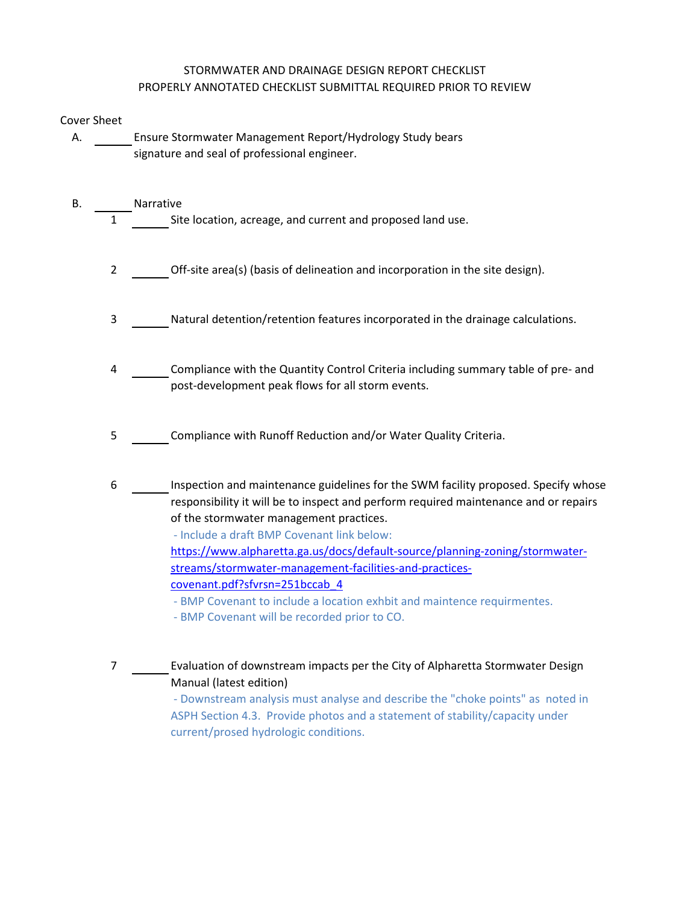## STORMWATER AND DRAINAGE DESIGN REPORT CHECKLIST PROPERLY ANNOTATED CHECKLIST SUBMITTAL REQUIRED PRIOR TO REVIEW

## Cover Sheet

- A. Ensure Stormwater Management Report/Hydrology Study bears signature and seal of professional engineer.
- B. Narrative 1 Site location, acreage, and current and proposed land use.
	- 2 Off-site area(s) (basis of delineation and incorporation in the site design).
	- 3 Natural detention/retention features incorporated in the drainage calculations.
	- 4 Compliance with the Quantity Control Criteria including summary table of pre- and post-development peak flows for all storm events.
	- 5 Compliance with Runoff Reduction and/or Water Quality Criteria.
	- 6 Inspection and maintenance guidelines for the SWM facility proposed. Specify whose responsibility it will be to inspect and perform required maintenance and or repairs of the stormwater management practices.
		- Include a draft BMP Covenant link below:
		- [https:/](https://www.alpharetta.ga.us/docs/default-source/planning-zoning/stormwater-streams/stormwater-management-facilities-and-practices-covenant.pdf?sfvrsn=251bccab_4)/www.alpharetta.ga.us/docs/default-source/planning-zoning/stormwater[stream](https://www.alpharetta.ga.us/docs/default-source/planning-zoning/stormwater-streams/stormwater-management-facilities-and-practices-covenant.pdf?sfvrsn=251bccab_4)s/stormwater-management-facilities-and-practices[covena](https://www.alpharetta.ga.us/docs/default-source/planning-zoning/stormwater-streams/stormwater-management-facilities-and-practices-covenant.pdf?sfvrsn=251bccab_4)nt.pdf?sfvrsn=251bccab\_4
		- BMP Covenant to include a location exhbit and maintence requirmentes.
		- BMP Covenant will be recorded prior to CO.

7 Evaluation of downstream impacts per the City of Alpharetta Stormwater Design Manual (latest edition)

> - Downstream analysis must analyse and describe the "choke points" as noted in ASPH Section 4.3. Provide photos and a statement of stability/capacity under current/prosed hydrologic conditions.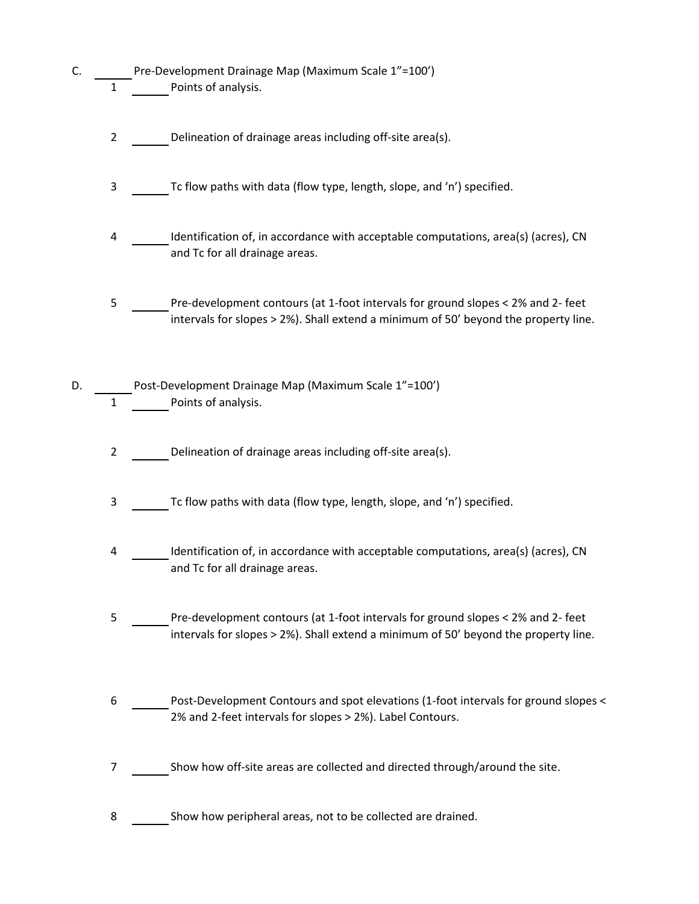- C. Pre-Development Drainage Map (Maximum Scale 1"=100') 1 Points of analysis.
	- 2 Delineation of drainage areas including off-site area(s).
	- 3 Tc flow paths with data (flow type, length, slope, and 'n') specified.
	- 4 Identification of, in accordance with acceptable computations, area(s) (acres), CN and Tc for all drainage areas.
	- 5 Pre-development contours (at 1-foot intervals for ground slopes < 2% and 2- feet intervals for slopes > 2%). Shall extend a minimum of 50' beyond the property line.
- D. Post-Development Drainage Map (Maximum Scale 1"=100') 1 Points of analysis.
	- 2 Delineation of drainage areas including off-site area(s).
	- 3 Tc flow paths with data (flow type, length, slope, and 'n') specified.
	- 4 Identification of, in accordance with acceptable computations, area(s) (acres), CN and Tc for all drainage areas.
	- 5 Pre-development contours (at 1-foot intervals for ground slopes < 2% and 2- feet intervals for slopes > 2%). Shall extend a minimum of 50' beyond the property line.
	- 6 Post-Development Contours and spot elevations (1-foot intervals for ground slopes < 2% and 2-feet intervals for slopes > 2%). Label Contours.
	- 7 Show how off-site areas are collected and directed through/around the site.
	- 8 Show how peripheral areas, not to be collected are drained.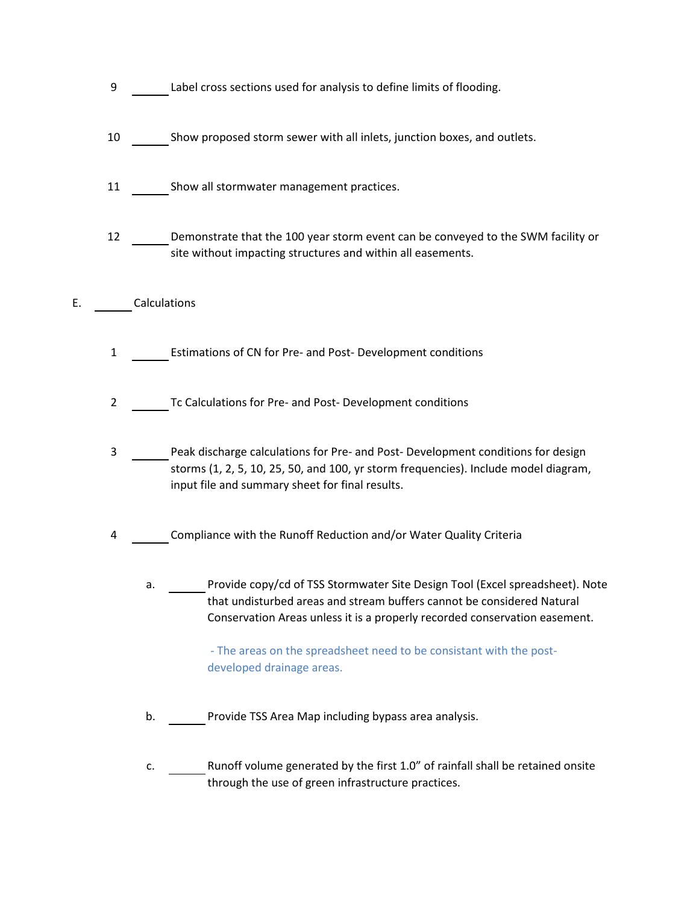- 9 Label cross sections used for analysis to define limits of flooding.
- 10 Show proposed storm sewer with all inlets, junction boxes, and outlets.
- 11 Show all stormwater management practices.
- 12 Demonstrate that the 100 year storm event can be conveyed to the SWM facility or site without impacting structures and within all easements.
- E. Calculations
	- 1 Estimations of CN for Pre- and Post- Development conditions
	- 2 Tc Calculations for Pre- and Post- Development conditions
	- 3 Peak discharge calculations for Pre- and Post- Development conditions for design storms (1, 2, 5, 10, 25, 50, and 100, yr storm frequencies). Include model diagram, input file and summary sheet for final results.
	- 4 Compliance with the Runoff Reduction and/or Water Quality Criteria
		- a. Provide copy/cd of TSS Stormwater Site Design Tool (Excel spreadsheet). Note that undisturbed areas and stream buffers cannot be considered Natural Conservation Areas unless it is a properly recorded conservation easement.

 - The areas on the spreadsheet need to be consistant with the postdeveloped drainage areas.

- b. Provide TSS Area Map including bypass area analysis.
- c. Runoff volume generated by the first 1.0" of rainfall shall be retained onsite through the use of green infrastructure practices.